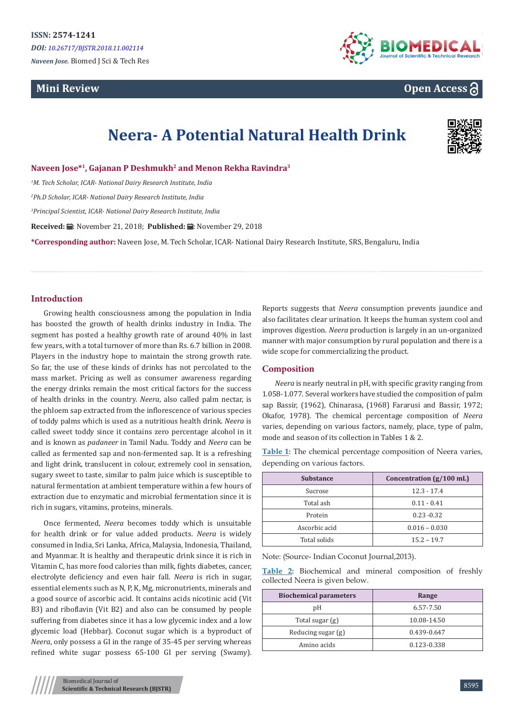# **Mini Review**



**Open Access**

# **Neera- A Potential Natural Health Drink**



**Naveen Jose\*<sup>1</sup>, Gajanan P Deshmukh<sup>2</sup> and Menon Rekha Ravindra<sup>3</sup>**

*1 M. Tech Scholar, ICAR- National Dairy Research Institute, India*

*2 Ph.D Scholar, ICAR- National Dairy Research Institute, India*

*3 Principal Scientist, ICAR- National Dairy Research Institute, India*

**Received:** ■: November 21, 2018; Published: ■: November 29, 2018

**\*Corresponding author:** Naveen Jose, M. Tech Scholar, ICAR- National Dairy Research Institute, SRS, Bengaluru, India

# **Introduction**

Growing health consciousness among the population in India has boosted the growth of health drinks industry in India. The segment has posted a healthy growth rate of around 40% in last few years, with a total turnover of more than Rs. 6.7 billion in 2008. Players in the industry hope to maintain the strong growth rate. So far, the use of these kinds of drinks has not percolated to the mass market. Pricing as well as consumer awareness regarding the energy drinks remain the most critical factors for the success of health drinks in the country. *Neera*, also called palm nectar, is the phloem sap extracted from the inflorescence of various species of toddy palms which is used as a nutritious health drink. *Neera* is called sweet toddy since it contains zero percentage alcohol in it and is known as *padaneer* in Tamil Nadu. Toddy and *Neera* can be called as fermented sap and non-fermented sap. It is a refreshing and light drink, translucent in colour, extremely cool in sensation, sugary sweet to taste, similar to palm juice which is susceptible to natural fermentation at ambient temperature within a few hours of extraction due to enzymatic and microbial fermentation since it is rich in sugars, vitamins, proteins, minerals.

Once fermented, *Neera* becomes toddy which is unsuitable for health drink or for value added products. *Neera* is widely consumed in India, Sri Lanka, Africa, Malaysia, Indonesia, Thailand, and Myanmar. It is healthy and therapeutic drink since it is rich in Vitamin C, has more food calories than milk, fights diabetes, cancer, electrolyte deficiency and even hair fall. *Neera* is rich in sugar, essential elements such as N, P, K, Mg, micronutrients, minerals and a good source of ascorbic acid. It contains acids nicotinic acid (Vit B3) and riboflavin (Vit B2) and also can be consumed by people suffering from diabetes since it has a low glycemic index and a low glycemic load (Hebbar). Coconut sugar which is a byproduct of *Neera*, only possess a GI in the range of 35-45 per serving whereas refined white sugar possess 65-100 GI per serving (Swamy).

Reports suggests that *Neera* consumption prevents jaundice and also facilitates clear urination. It keeps the human system cool and improves digestion. *Neera* production is largely in an un-organized manner with major consumption by rural population and there is a wide scope for commercializing the product.

#### **Composition**

*Neera* is nearly neutral in pH, with specific gravity ranging from 1.058-1.077. Several workers have studied the composition of palm sap Bassir, (1962), Chinarasa, (1968) Fararusi and Bassir, 1972; Okafor, 1978). The chemical percentage composition of *Neera* varies, depending on various factors, namely, place, type of palm, mode and season of its collection in Tables 1 & 2.

**Table 1:** The chemical percentage composition of Neera varies, depending on various factors.

| <b>Substance</b> | Concentration $(g/100 \text{ mL})$ |
|------------------|------------------------------------|
| Sucrose          | $12.3 - 17.4$                      |
| Total ash        | $0.11 - 0.41$                      |
| Protein          | $0.23 - 0.32$                      |
| Ascorbic acid    | $0.016 - 0.030$                    |
| Total solids     | $15.2 - 19.7$                      |

Note: (Source- Indian Coconut Journal,2013).

**Table 2:** Biochemical and mineral composition of freshly collected Neera is given below.

| <b>Biochemical parameters</b> | Range       |
|-------------------------------|-------------|
| pΗ                            | 6.57-7.50   |
| Total sugar (g)               | 10.08-14.50 |
| Reducing sugar (g)            | 0.439-0.647 |
| Amino acids                   | 0.123-0.338 |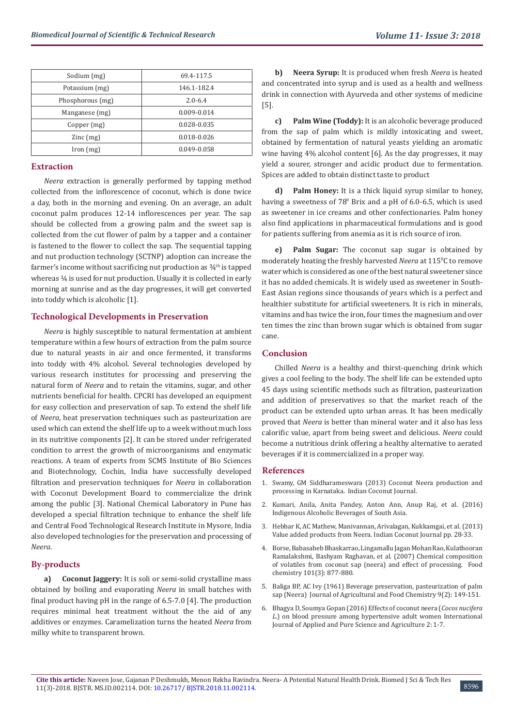| Sodium (mg)                         | 69.4-117.5  |
|-------------------------------------|-------------|
| Potassium (mg)                      | 146.1-182.4 |
| Phosphorous (mg)                    | $2.0 - 6.4$ |
| Manganese (mg)                      | 0.009-0.014 |
| Copper (mg)                         | 0.028-0.035 |
| $\text{Zinc}\left(\text{mg}\right)$ | 0.018-0.026 |
| [ron (mg)]                          | 0.049-0.058 |

#### **Extraction**

*Neera* extraction is generally performed by tapping method collected from the inflorescence of coconut, which is done twice a day, both in the morning and evening. On an average, an adult coconut palm produces 12-14 inflorescences per year. The sap should be collected from a growing palm and the sweet sap is collected from the cut flower of palm by a tapper and a container is fastened to the flower to collect the sap. The sequential tapping and nut production technology (SCTNP) adoption can increase the farmer's income without sacrificing nut production as  $\frac{3}{4}$ <sup>th</sup> is tapped whereas  $\frac{1}{4}$  is used for nut production. Usually it is collected in early morning at sunrise and as the day progresses, it will get converted into toddy which is alcoholic [1].

#### **Technological Developments in Preservation**

*Neera* is highly susceptible to natural fermentation at ambient temperature within a few hours of extraction from the palm source due to natural yeasts in air and once fermented, it transforms into toddy with 4% alcohol. Several technologies developed by various research institutes for processing and preserving the natural form of *Neera* and to retain the vitamins, sugar, and other nutrients beneficial for health. CPCRI has developed an equipment for easy collection and preservation of sap. To extend the shelf life of *Neera*, heat preservation techniques such as pasteurization are used which can extend the shelf life up to a week without much loss in its nutritive components [2]. It can be stored under refrigerated condition to arrest the growth of microorganisms and enzymatic reactions. A team of experts from SCMS Institute of Bio Sciences and Biotechnology, Cochin, India have successfully developed filtration and preservation techniques for *Neera* in collaboration with Coconut Development Board to commercialize the drink among the public [3]. National Chemical Laboratory in Pune has developed a special filtration technique to enhance the shelf life and Central Food Technological Research Institute in Mysore, India also developed technologies for the preservation and processing of *Neera*.

#### **By-products**

**a) Coconut Jaggery:** It is soli or semi-solid crystalline mass obtained by boiling and evaporating *Neera* in small batches with final product having pH in the range of 6.5-7.0 [4]. The production requires minimal heat treatment without the the aid of any additives or enzymes. Caramelization turns the heated *Neera* from milky white to transparent brown.

**b) Neera Syrup:** It is produced when fresh *Neera* is heated and concentrated into syrup and is used as a health and wellness drink in connection with Ayurveda and other systems of medicine [5].

**c) Palm Wine (Toddy):** It is an alcoholic beverage produced from the sap of palm which is mildly intoxicating and sweet, obtained by fermentation of natural yeasts yielding an aromatic wine having 4% alcohol content [6]. As the day progresses, it may yield a sourer, stronger and acidic product due to fermentation. Spices are added to obtain distinct taste to product

**Palm Honey:** It is a thick liquid syrup similar to honey, having a sweetness of  $78^{\circ}$  Brix and a pH of 6.0-6.5, which is used as sweetener in ice creams and other confectionaries. Palm honey also find applications in pharmaceutical formulations and is good for patients suffering from anemia as it is rich source of iron.

**e) Palm Sugar:** The coconut sap sugar is obtained by moderately heating the freshly harvested *Neera* at 115°C to remove water which is considered as one of the best natural sweetener since it has no added chemicals. It is widely used as sweetener in South-East Asian regions since thousands of years which is a perfect and healthier substitute for artificial sweeteners. It is rich in minerals, vitamins and has twice the iron, four times the magnesium and over ten times the zinc than brown sugar which is obtained from sugar cane.

#### **Conclusion**

Chilled *Neera* is a healthy and thirst-quenching drink which gives a cool feeling to the body. The shelf life can be extended upto 45 days using scientific methods such as filtration, pasteurization and addition of preservatives so that the market reach of the product can be extended upto urban areas. It has been medically proved that *Neera* is better than mineral water and it also has less calorific value, apart from being sweet and delicious. *Neera* could become a nutritious drink offering a healthy alternative to aerated beverages if it is commercialized in a proper way.

#### **References**

- 1. [Swamy, GM Siddharameswara \(2013\) Coconut Neera production and](https://www.coconutboard.in/docs/artcl-neera-icj-jan-13-sidhas.pdf) [processing in Karnataka. Indian Coconut Journal.](https://www.coconutboard.in/docs/artcl-neera-icj-jan-13-sidhas.pdf)
- 2. [Kumari, Anila, Anita Pandey, Anton Ann, Anup Raj, et al. \(2016\)](https://www.researchgate.net/publication/279922940_Indigenous_Alcoholic_Beverages_of_South_Asia) [Indigenous Alcoholic Beverages of South Asia.](https://www.researchgate.net/publication/279922940_Indigenous_Alcoholic_Beverages_of_South_Asia)
- 3. [Hebbar K, AC Mathew, Manivannan, Arivalagan, Kukkamgai, et al. \(2013\)](https://www.researchgate.net/publication/257947206_Value_added_products_from_Neera) [Value added products from Neera. Indian Coconut Journal pp. 28-33.](https://www.researchgate.net/publication/257947206_Value_added_products_from_Neera)
- 4. [Borse, Babasaheb Bhaskarrao, Lingamallu Jagan Mohan Rao, Kulathooran](https://www.sciencedirect.com/science/article/pii/S0308814606001488) [Ramalakshmi, Bashyam Raghavan, et al. \(2007\) Chemical composition](https://www.sciencedirect.com/science/article/pii/S0308814606001488) [of volatiles from coconut sap \(neera\) and effect of processing. Food](https://www.sciencedirect.com/science/article/pii/S0308814606001488) chemistry [101\(3\): 877-880.](https://www.sciencedirect.com/science/article/pii/S0308814606001488)
- 5. [Baliga BP, AC Ivy \(1961\) Beverage preservation, pasteurization of palm](https://pubs.acs.org/doi/abs/10.1021/jf60114a018) [sap \(Neera\) Journal of Agricultural and Food Chemistry](https://pubs.acs.org/doi/abs/10.1021/jf60114a018) 9(2): 149-151.
- 6. Bhagya D, Soumya Gopan (2016) Effects of coconut neera (*Cocos nucifera L.*) on blood pressure among hypertensive adult women International Journal of Applied and Pure Science and Agriculture 2: 1-7.